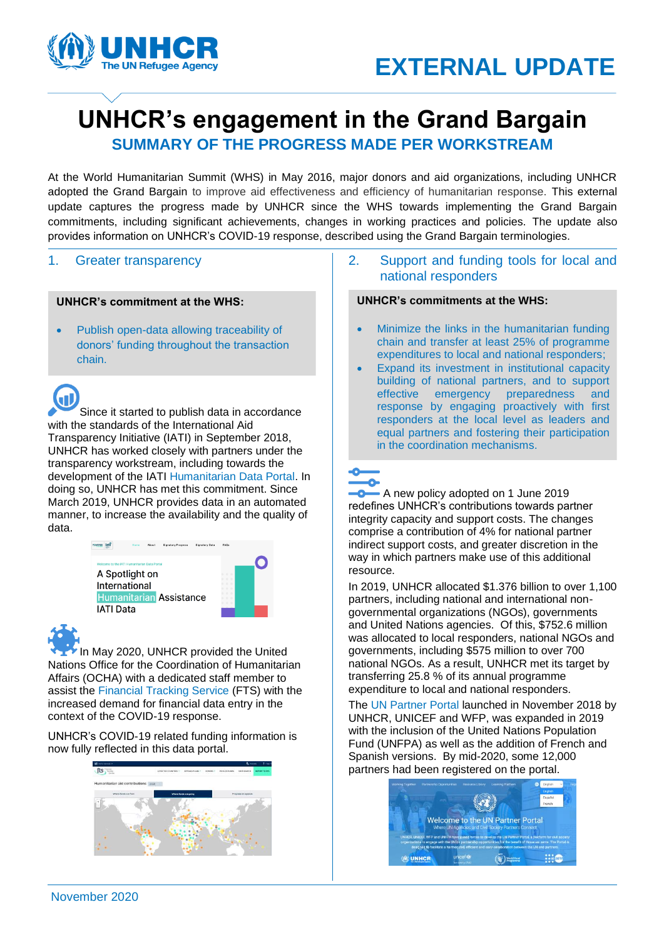

# **UNHCR's engagement in the Grand Bargain**

**SUMMARY OF THE PROGRESS MADE PER WORKSTREAM**

adopted the Grand Bargain to improve aid effectiveness and efficiency of humanitarian response. This external<br>update captures the progress made by UNHCR since the WHS towards implementing the Grand Bargain At the World Humanitarian Summit (WHS) in May 2016, major donors and aid organizations, including UNHCR adopted the Grand Bargain to improve aid effectiveness and efficiency of humanitarian response. This external commitments, including significant achievements, changes in working practices and policies. The update also provides information on UNHCR's COVID-19 response, described using the Grand Bargain terminologies.

### 1. Greater transparency

### **UNHCR's commitment at the WHS:**

• Publish open-data allowing traceability of donors' funding throughout the transaction chain.

Œ Since it started to publish data in accordance with the standards of the International Aid Transparency Initiative (IATI) in September 2018, UNHCR has worked closely with partners under the transparency workstream, including towards the development of the IATI [Humanitarian Data Portal.](https://www.humportal.org/) In doing so, UNHCR has met this commitment. Since March 2019, UNHCR provides data in an automated manner, to increase the availability and the quality of data.





In May 2020, UNHCR provided the United Nations Office for the Coordination of Humanitarian Affairs (OCHA) with a dedicated staff member to assist the [Financial Tracking Service](https://fts.unocha.org/) (FTS) with the increased demand for financial data entry in the context of the COVID-19 response.

UNHCR's COVID-19 related funding information is now fully reflected in this data portal.



### 2. Support and funding tools for local and national responders

### **UNHCR's commitments at the WHS:**

- Minimize the links in the humanitarian funding chain and transfer at least 25% of programme expenditures to local and national responders;
- Expand its investment in institutional capacity building of national partners, and to support effective emergency preparedness and response by engaging proactively with first responders at the local level as leaders and equal partners and fostering their participation in the coordination mechanisms.

**-0** A new policy adopted on 1 June 2019 redefines UNHCR's contributions towards partner integrity capacity and support costs. The changes comprise a contribution of 4% for national partner indirect support costs, and greater discretion in the way in which partners make use of this additional resource.

In 2019, UNHCR allocated \$1.376 billion to over 1,100 partners, including national and international nongovernmental organizations (NGOs), governments and United Nations agencies. Of this, \$752.6 million was allocated to local responders, national NGOs and governments, including \$575 million to over 700 national NGOs. As a result, UNHCR met its target by transferring 25.8 % of its annual programme expenditure to local and national responders.

The [UN Partner Portal](https://www.unpartnerportal.org/landing/) launched in November 2018 by UNHCR, UNICEF and WFP, was expanded in 2019 with the inclusion of the United Nations Population Fund (UNFPA) as well as the addition of French and Spanish versions. By mid-2020, some 12,000 partners had been registered on the portal.

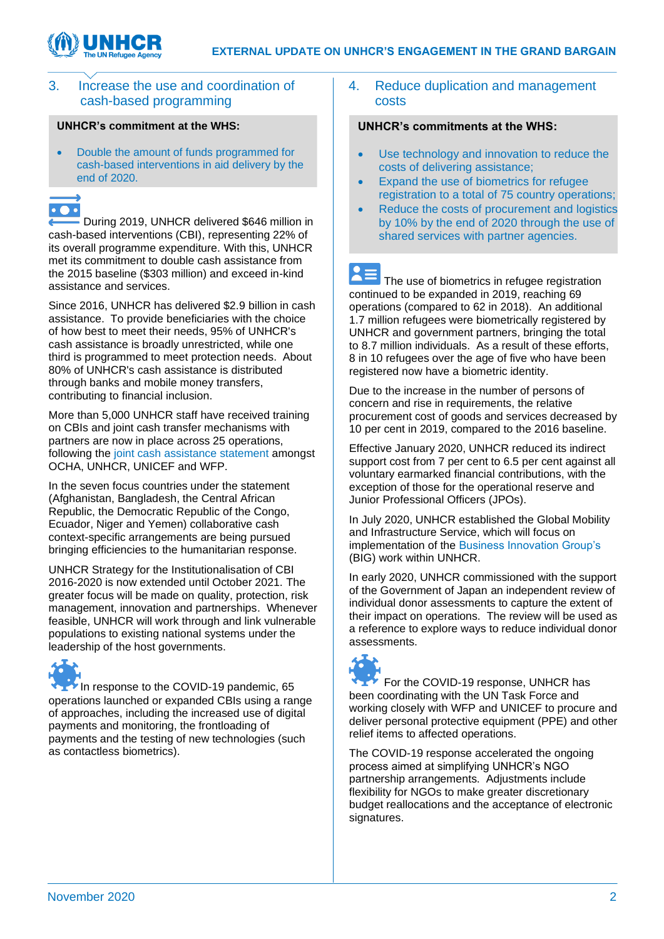

### 3. Increase the use and coordination of cash-based programming

### **UNHCR's commitment at the WHS:**

• Double the amount of funds programmed for cash-based interventions in aid delivery by the end of 2020.

## $\bullet$   $\bullet$   $\bullet$

During 2019, UNHCR delivered \$646 million in cash-based interventions (CBI), representing 22% of its overall programme expenditure. With this, UNHCR met its commitment to double cash assistance from the 2015 baseline (\$303 million) and exceed in-kind assistance and services.

Since 2016, UNHCR has delivered \$2.9 billion in cash assistance. To provide beneficiaries with the choice of how best to meet their needs, 95% of UNHCR's cash assistance is broadly unrestricted, while one third is programmed to meet protection needs. About 80% of UNHCR's cash assistance is distributed through banks and mobile money transfers, contributing to financial inclusion.

More than 5,000 UNHCR staff have received training on CBIs and joint cash transfer mechanisms with partners are now in place across 25 operations, following the [joint cash assistance statement](https://reliefweb.int/sites/reliefweb.int/files/resources/2018-12-05-FINAL%20Statement%20on%20Cash.pdf) amongst OCHA, UNHCR, UNICEF and WFP.

In the seven focus countries under the statement (Afghanistan, Bangladesh, the Central African Republic, the Democratic Republic of the Congo, Ecuador, Niger and Yemen) collaborative cash context-specific arrangements are being pursued bringing efficiencies to the humanitarian response.

UNHCR Strategy for the Institutionalisation of CBI 2016-2020 is now extended until October 2021. The greater focus will be made on quality, protection, risk management, innovation and partnerships. Whenever feasible, UNHCR will work through and link vulnerable populations to existing national systems under the leadership of the host governments.

In response to the COVID-19 pandemic, 65 operations launched or expanded CBIs using a range of approaches, including the increased use of digital payments and monitoring, the frontloading of payments and the testing of new technologies (such as contactless biometrics).

### 4. Reduce duplication and management costs

### **UNHCR's commitments at the WHS:**

- Use technology and innovation to reduce the costs of delivering assistance;
- Expand the use of biometrics for refugee registration to a total of 75 country operations;
- Reduce the costs of procurement and logistics by 10% by the end of 2020 through the use of shared services with partner agencies.

 $\mathbf{Z} = \mathbf{Z}$  The use of biometrics in refugee registration continued to be expanded in 2019, reaching 69 operations (compared to 62 in 2018). An additional 1.7 million refugees were biometrically registered by UNHCR and government partners, bringing the total to 8.7 million individuals. As a result of these efforts, 8 in 10 refugees over the age of five who have been registered now have a biometric identity.

Due to the increase in the number of persons of concern and rise in requirements, the relative procurement cost of goods and services decreased by 10 per cent in 2019, compared to the 2016 baseline.

Effective January 2020, UNHCR reduced its indirect support cost from 7 per cent to 6.5 per cent against all voluntary earmarked financial contributions, with the exception of those for the operational reserve and Junior Professional Officers (JPOs).

In July 2020, UNHCR established the Global Mobility and Infrastructure Service, which will focus on implementation of the [Business Innovation Group's](https://unsdg.un.org/resources/business-innovations-group-update-nine) (BIG) work within UNHCR.

In early 2020, UNHCR commissioned with the support of the Government of Japan an independent review of individual donor assessments to capture the extent of their impact on operations. The review will be used as a reference to explore ways to reduce individual donor assessments.



For the COVID-19 response, UNHCR has been coordinating with the UN Task Force and working closely with WFP and UNICEF to procure and deliver personal protective equipment (PPE) and other relief items to affected operations.

The COVID-19 response accelerated the ongoing process aimed at simplifying UNHCR's NGO partnership arrangements. Adjustments include flexibility for NGOs to make greater discretionary budget reallocations and the acceptance of electronic signatures.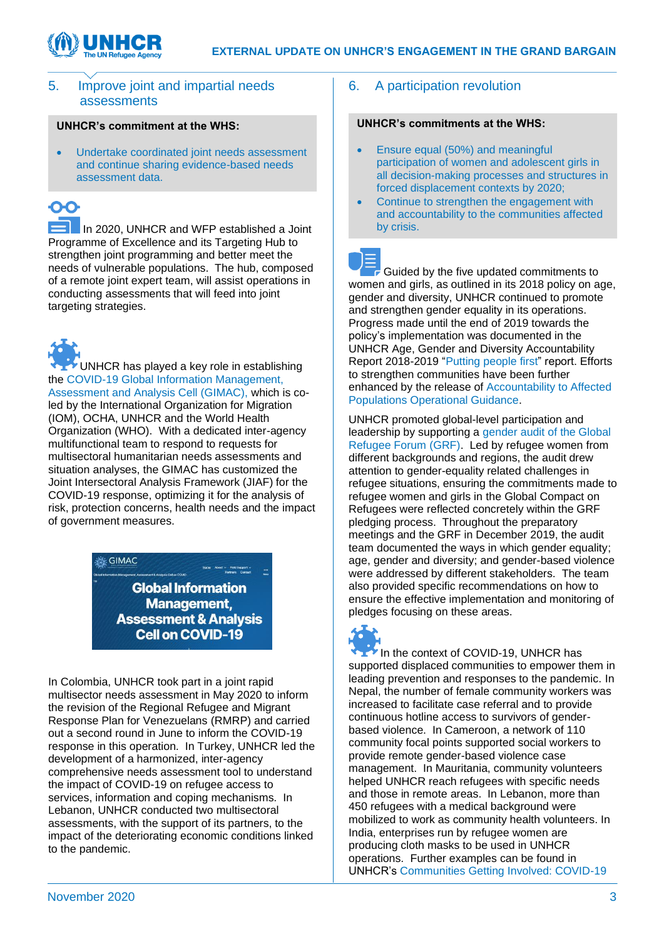



### 5. Improve joint and impartial needs assessments

### **UNHCR's commitment at the WHS:**

• Undertake coordinated joint needs assessment and continue sharing evidence-based needs assessment data.

In 2020, UNHCR and WFP established a Joint Programme of Excellence and its Targeting Hub to strengthen joint programming and better meet the needs of vulnerable populations. The hub, composed of a remote joint expert team, will assist operations in conducting assessments that will feed into joint targeting strategies.

UNHCR has played a key role in establishing the [COVID-19 Global Information Management,](https://www.gimac.info/)  [Assessment and Analysis Cell \(GIMAC\),](https://www.gimac.info/) which is coled by the International Organization for Migration (IOM), OCHA, UNHCR and the World Health Organization (WHO). With a dedicated inter-agency multifunctional team to respond to requests for multisectoral humanitarian needs assessments and situation analyses, the GIMAC has customized the Joint Intersectoral Analysis Framework (JIAF) for the COVID-19 response, optimizing it for the analysis of risk, protection concerns, health needs and the impact of government measures.

> GIMAC **Global Information Management, Assessment & Analysis Cell on COVID-19**

In Colombia, UNHCR took part in a joint rapid multisector needs assessment in May 2020 to inform the revision of the Regional Refugee and Migrant Response Plan for Venezuelans (RMRP) and carried out a second round in June to inform the COVID-19 response in this operation. In Turkey, UNHCR led the development of a harmonized, inter-agency comprehensive needs assessment tool to understand the impact of COVID-19 on refugee access to services, information and coping mechanisms. In Lebanon, UNHCR conducted two multisectoral assessments, with the support of its partners, to the impact of the deteriorating economic conditions linked to the pandemic.

### 6. A participation revolution

### **UNHCR's commitments at the WHS:**

- Ensure equal (50%) and meaningful participation of women and adolescent girls in all decision-making processes and structures in forced displacement contexts by 2020;
- Continue to strengthen the engagement with and accountability to the communities affected by crisis.

Guided by the five updated commitments to women and girls, as outlined in its 2018 policy on age, gender and diversity, UNHCR continued to promote and strengthen gender equality in its operations. Progress made until the end of 2019 towards the policy's implementation was documented in the UNHCR Age, Gender and Diversity Accountability Report 2018-2019 ["Putting people first"](https://www.unhcr.org/5f04946d4.pdf) report. Efforts to strengthen communities have been further enhanced by the release of [Accountability to Affected](https://www.unhcr.org/aap-operational-guidance.html)  [Populations Operational Guidance.](https://www.unhcr.org/aap-operational-guidance.html)

UNHCR promoted global-level participation and leadership by supporting a [gender audit of the Global](https://www.unhcr.org/5ee8e3174)  [Refugee Forum](https://www.unhcr.org/5ee8e3174) (GRF). Led by refugee women from different backgrounds and regions, the audit drew attention to gender-equality related challenges in refugee situations, ensuring the commitments made to refugee women and girls in the Global Compact on Refugees were reflected concretely within the GRF pledging process. Throughout the preparatory meetings and the GRF in December 2019, the audit team documented the ways in which gender equality; age, gender and diversity; and gender-based violence were addressed by different stakeholders. The team also provided specific recommendations on how to ensure the effective implementation and monitoring of pledges focusing on these areas.



In the context of COVID-19, UNHCR has supported displaced communities to empower them in leading prevention and responses to the pandemic. In Nepal, the number of female community workers was increased to facilitate case referral and to provide continuous hotline access to survivors of genderbased violence. In Cameroon, a network of 110 community focal points supported social workers to provide remote gender-based violence case management. In Mauritania, community volunteers helped UNHCR reach refugees with specific needs and those in remote areas. In Lebanon, more than 450 refugees with a medical background were mobilized to work as community health volunteers. In India, enterprises run by refugee women are producing cloth masks to be used in UNHCR operations. Further examples can be found in UNHCR's [Communities Getting Involved: COVID-19.](https://reporting.unhcr.org/sites/default/files/DIP%20CBP%20brief_C-19-Communities%20Getting%20Involved%20June%2020.pdf)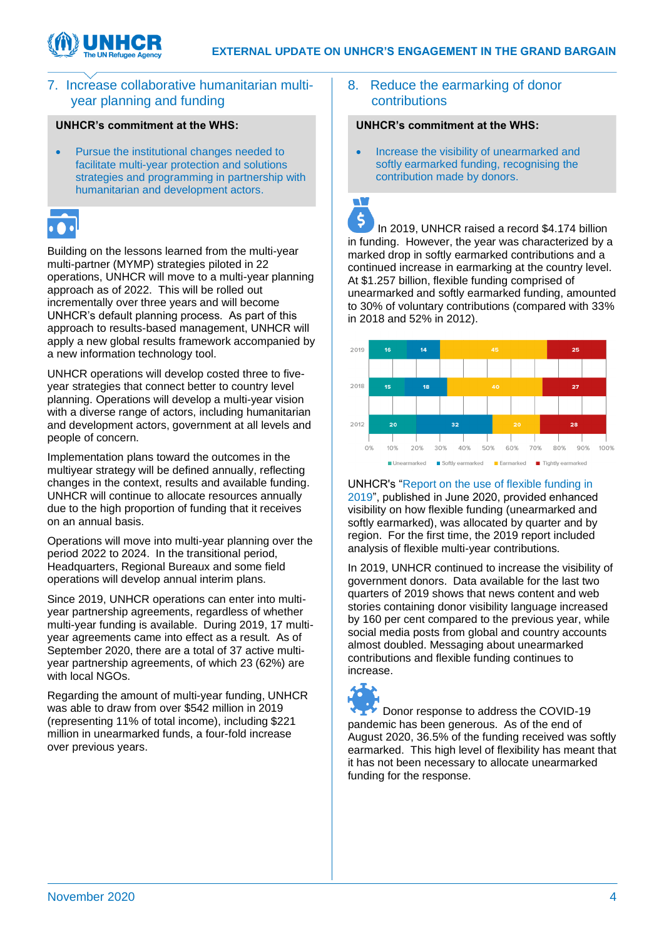T.



### 7. Increase collaborative humanitarian multiyear planning and funding

### **UNHCR's commitment at the WHS:**

• Pursue the institutional changes needed to facilitate multi-year protection and solutions strategies and programming in partnership with humanitarian and development actors.

Building on the lessons learned from the multi-year multi-partner (MYMP) strategies piloted in 22 operations, UNHCR will move to a multi-year planning approach as of 2022. This will be rolled out incrementally over three years and will become UNHCR's default planning process. As part of this approach to results-based management, UNHCR will apply a new global results framework accompanied by a new information technology tool.

UNHCR operations will develop costed three to fiveyear strategies that connect better to country level planning. Operations will develop a multi-year vision with a diverse range of actors, including humanitarian and development actors, government at all levels and people of concern.

Implementation plans toward the outcomes in the multiyear strategy will be defined annually, reflecting changes in the context, results and available funding. UNHCR will continue to allocate resources annually due to the high proportion of funding that it receives on an annual basis.

Operations will move into multi-year planning over the period 2022 to 2024. In the transitional period, Headquarters, Regional Bureaux and some field operations will develop annual interim plans.

Since 2019, UNHCR operations can enter into multiyear partnership agreements, regardless of whether multi-year funding is available. During 2019, 17 multiyear agreements came into effect as a result. As of September 2020, there are a total of 37 active multiyear partnership agreements, of which 23 (62%) are with local NGOs.

Regarding the amount of multi-year funding, UNHCR was able to draw from over \$542 million in 2019 (representing 11% of total income), including \$221 million in unearmarked funds, a four-fold increase over previous years.

### 8. Reduce the earmarking of donor contributions

### **UNHCR's commitment at the WHS:**

• Increase the visibility of unearmarked and softly earmarked funding, recognising the contribution made by donors.

 $\ddot{\varsigma}$ In 2019, UNHCR raised a record \$4.174 billion in funding. However, the year was characterized by a marked drop in softly earmarked contributions and a continued increase in earmarking at the country level. At \$1.257 billion, flexible funding comprised of unearmarked and softly earmarked funding, amounted to 30% of voluntary contributions (compared with 33% in 2018 and 52% in 2012).



UNHCR's ["Report on the use of flexible funding in](https://reporting.unhcr.org/sites/default/files/Flexible-Funding-in-2019.pdf)  [2019"](https://reporting.unhcr.org/sites/default/files/Flexible-Funding-in-2019.pdf), published in June 2020, provided enhanced visibility on how flexible funding (unearmarked and softly earmarked), was allocated by quarter and by region. For the first time, the 2019 report included analysis of flexible multi-year contributions.

In 2019, UNHCR continued to increase the visibility of government donors. Data available for the last two quarters of 2019 shows that news content and web stories containing donor visibility language increased by 160 per cent compared to the previous year, while social media posts from global and country accounts almost doubled. Messaging about unearmarked contributions and flexible funding continues to increase.



Donor response to address the COVID-19 pandemic has been generous. As of the end of August 2020, 36.5% of the funding received was softly earmarked. This high level of flexibility has meant that it has not been necessary to allocate unearmarked funding for the response.